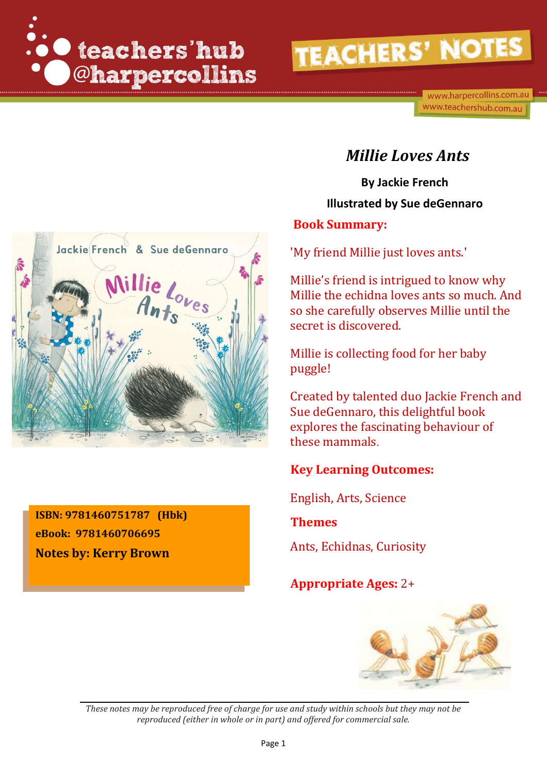



**ISBN: 9781460751787 (Hbk) eBook: 9781460706695 Notes by: Kerry Brown**

#### *Millie Loves Ants*

**By Jackie French Illustrated by Sue deGennaro**

#### **Book Summary:**

'My friend Millie just loves ants.'

Millie's friend is intrigued to know why Millie the echidna loves ants so much. And so she carefully observes Millie until the secret is discovered.

Millie is collecting food for her baby puggle!

Created by talented duo Jackie French and Sue deGennaro, this delightful book explores the fascinating behaviour of these mammals.

#### **Key Learning Outcomes:**

English, Arts, Science

#### **Themes**

Ants, Echidnas, Curiosity

#### **Appropriate Ages:** 2+

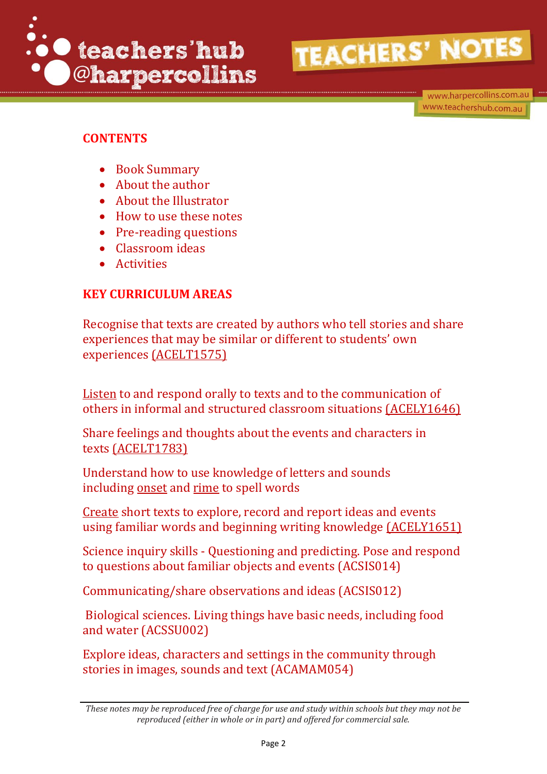

www.harpercollins.com.au www.teachershub.com.au

#### **CONTENTS**

- Book Summary
- About the author
- About the Illustrator
- How to use these notes
- Pre-reading questions
- Classroom ideas
- Activities

#### **KEY CURRICULUM AREAS**

Recognise that texts are created by authors who tell stories and share experiences that may be similar or different to students' own experiences [\(ACELT1575\)](http://www.australiancurriculum.edu.au/curriculum/contentdescription/ACELT1575)

[Listen](http://www.australiancurriculum.edu.au/glossary/popup?a=E&t=listen) to and respond orally to texts and to the communication of others in informal and structured classroom situations [\(ACELY1646\)](http://www.australiancurriculum.edu.au/curriculum/contentdescription/ACELY1646)

Share feelings and thoughts about the events and characters in texts [\(ACELT1783\)](http://www.australiancurriculum.edu.au/curriculum/contentdescription/ACELT1783)

Understand how to use knowledge of letters and sounds including [onset](http://www.australiancurriculum.edu.au/glossary/popup?a=E&t=onset) and [rime](http://www.australiancurriculum.edu.au/glossary/popup?a=E&t=rime) to spell words

[Create](http://www.australiancurriculum.edu.au/glossary/popup?a=E&t=create) short texts to explore, record and report ideas and events using familiar words and beginning writing knowledge [\(ACELY1651\)](http://www.australiancurriculum.edu.au/curriculum/contentdescription/ACELY1651)

Science inquiry skills - Questioning and predicting. Pose and respond to questions about familiar objects and events (ACSIS014)

Communicating/share observations and ideas (ACSIS012)

Biological sciences. Living things have basic needs, including food and water (ACSSU002)

Explore ideas, characters and settings in the community through stories in images, sounds and text (ACAMAM054)

*These notes may be reproduced free of charge for use and study within schools but they may not be reproduced (either in whole or in part) and offered for commercial sale.*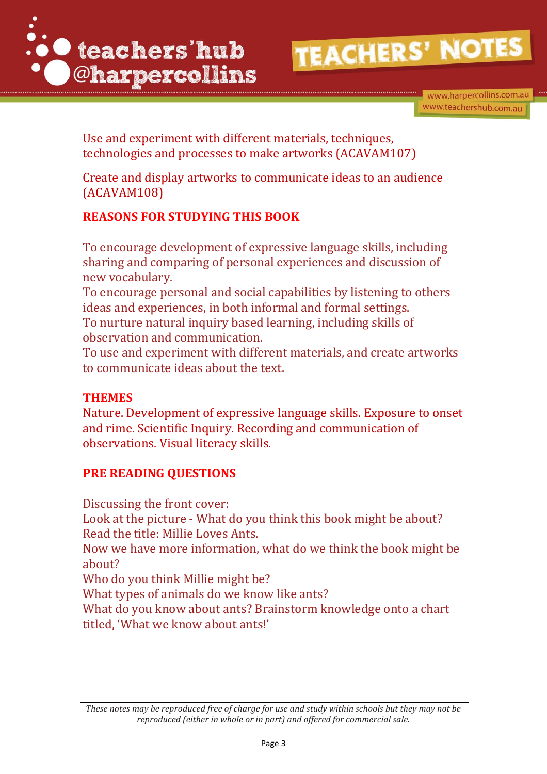

Use and experiment with different materials, techniques, technologies and processes to make artworks (ACAVAM107)

Create and display artworks to communicate ideas to an audience (ACAVAM108)

#### **REASONS FOR STUDYING THIS BOOK**

To encourage development of expressive language skills, including sharing and comparing of personal experiences and discussion of new vocabulary.

To encourage personal and social capabilities by listening to others ideas and experiences, in both informal and formal settings.

To nurture natural inquiry based learning, including skills of observation and communication.

To use and experiment with different materials, and create artworks to communicate ideas about the text.

#### **THEMES**

Nature. Development of expressive language skills. Exposure to onset and rime. Scientific Inquiry. Recording and communication of observations. Visual literacy skills.

#### **PRE READING QUESTIONS**

Discussing the front cover:

Look at the picture - What do you think this book might be about? Read the title: Millie Loves Ants.

Now we have more information, what do we think the book might be about?

Who do you think Millie might be?

What types of animals do we know like ants?

What do you know about ants? Brainstorm knowledge onto a chart titled, 'What we know about ants!'

*These notes may be reproduced free of charge for use and study within schools but they may not be reproduced (either in whole or in part) and offered for commercial sale.*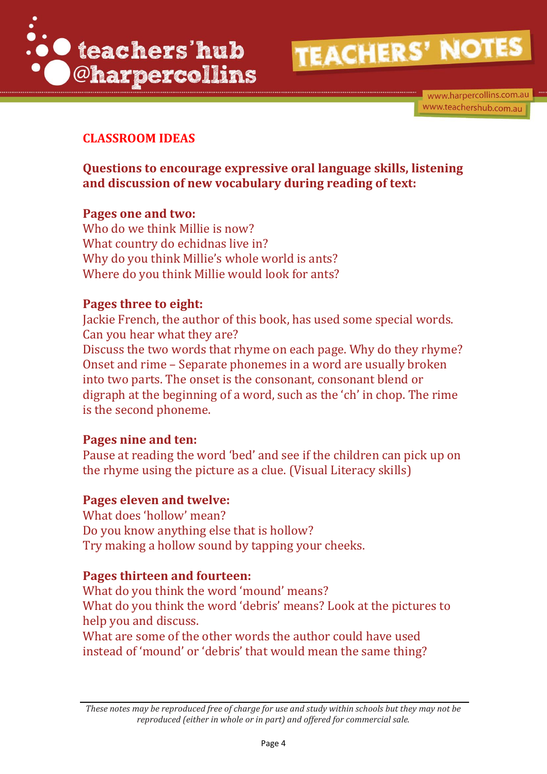![](_page_3_Picture_0.jpeg)

www.harpercollins.com.au www.teachershub.com.au

#### **CLASSROOM IDEAS**

**Questions to encourage expressive oral language skills, listening and discussion of new vocabulary during reading of text:**

#### **Pages one and two:**

Who do we think Millie is now? What country do echidnas live in? Why do you think Millie's whole world is ants? Where do you think Millie would look for ants?

#### **Pages three to eight:**

Jackie French, the author of this book, has used some special words. Can you hear what they are? Discuss the two words that rhyme on each page. Why do they rhyme? Onset and rime – Separate phonemes in a word are usually broken into two parts. The onset is the consonant, consonant blend or digraph at the beginning of a word, such as the 'ch' in chop. The rime is the second phoneme.

#### **Pages nine and ten:**

Pause at reading the word 'bed' and see if the children can pick up on the rhyme using the picture as a clue. (Visual Literacy skills)

#### **Pages eleven and twelve:**

What does 'hollow' mean? Do you know anything else that is hollow? Try making a hollow sound by tapping your cheeks.

#### **Pages thirteen and fourteen:**

What do you think the word 'mound' means? What do you think the word 'debris' means? Look at the pictures to help you and discuss.

What are some of the other words the author could have used instead of 'mound' or 'debris' that would mean the same thing?

*These notes may be reproduced free of charge for use and study within schools but they may not be reproduced (either in whole or in part) and offered for commercial sale.*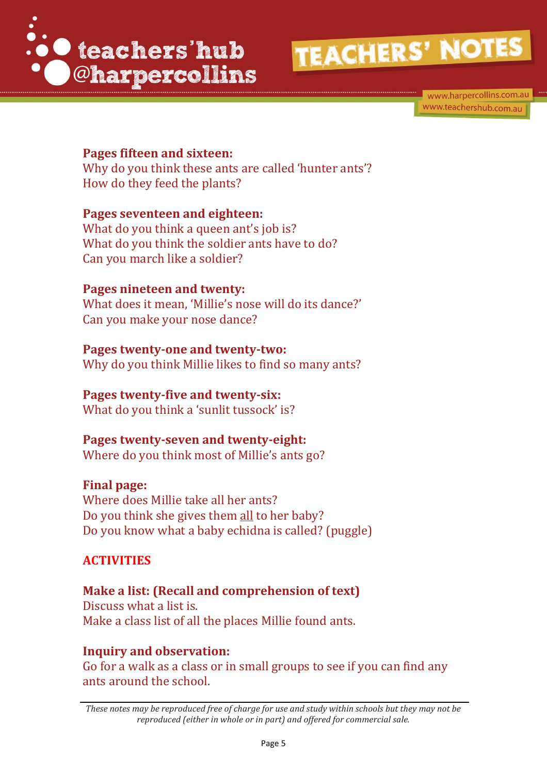![](_page_4_Picture_0.jpeg)

www.harpercollins.com.au www.teachershub.com.au

#### **Pages fifteen and sixteen:**

Why do you think these ants are called 'hunter ants'? How do they feed the plants?

#### **Pages seventeen and eighteen:**

What do you think a queen ant's job is? What do you think the soldier ants have to do? Can you march like a soldier?

#### **Pages nineteen and twenty:**

What does it mean, 'Millie's nose will do its dance?' Can you make your nose dance?

#### **Pages twenty-one and twenty-two:**

Why do you think Millie likes to find so many ants?

#### **Pages twenty-five and twenty-six:**

What do you think a 'sunlit tussock' is?

#### **Pages twenty-seven and twenty-eight:**

Where do you think most of Millie's ants go?

#### **Final page:**

Where does Millie take all her ants? Do you think she gives them all to her baby? Do you know what a baby echidna is called? (puggle)

#### **ACTIVITIES**

**Make a list: (Recall and comprehension of text)** Discuss what a list is. Make a class list of all the places Millie found ants.

#### **Inquiry and observation:**

Go for a walk as a class or in small groups to see if you can find any ants around the school.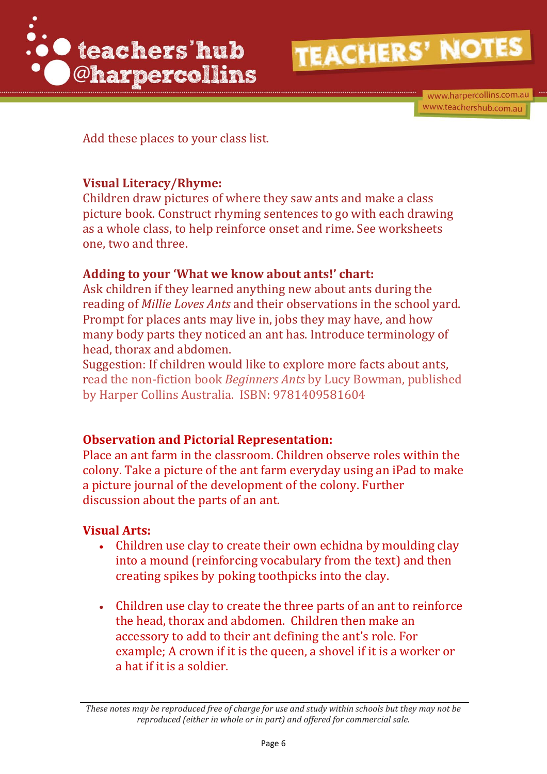![](_page_5_Picture_0.jpeg)

www.harpercollins.com.au www.teachershub.com.au

Add these places to your class list.

#### **Visual Literacy/Rhyme:**

Children draw pictures of where they saw ants and make a class picture book. Construct rhyming sentences to go with each drawing as a whole class, to help reinforce onset and rime. See worksheets one, two and three.

#### **Adding to your 'What we know about ants!' chart:**

Ask children if they learned anything new about ants during the reading of *Millie Loves Ants* and their observations in the school yard. Prompt for places ants may live in, jobs they may have, and how many body parts they noticed an ant has. Introduce terminology of head, thorax and abdomen.

Suggestion: If children would like to explore more facts about ants, read the non-fiction book *Beginners Ants* by [Lucy Bowman,](http://www.harpercollins.com.au/cr-110280/lucy-bowman) published by Harper Collins Australia. ISBN: 9781409581604

#### **Observation and Pictorial Representation:**

Place an ant farm in the classroom. Children observe roles within the colony. Take a picture of the ant farm everyday using an iPad to make a picture journal of the development of the colony. Further discussion about the parts of an ant.

#### **Visual Arts:**

- Children use clay to create their own echidna by moulding clay into a mound (reinforcing vocabulary from the text) and then creating spikes by poking toothpicks into the clay.
- Children use clay to create the three parts of an ant to reinforce the head, thorax and abdomen. Children then make an accessory to add to their ant defining the ant's role. For example; A crown if it is the queen, a shovel if it is a worker or a hat if it is a soldier.

*These notes may be reproduced free of charge for use and study within schools but they may not be reproduced (either in whole or in part) and offered for commercial sale.*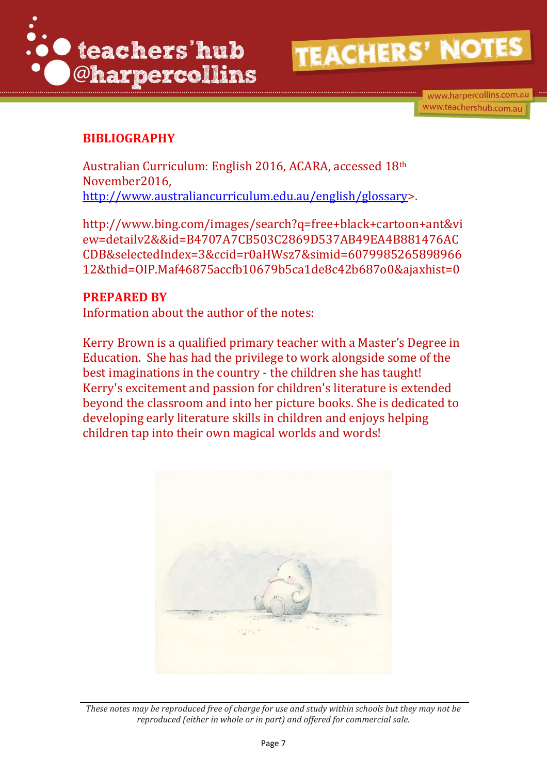![](_page_6_Picture_0.jpeg)

#### **BIBLIOGRAPHY**

Australian Curriculum: English 2016, ACARA, accessed 18th November2016, [http://www.australiancurriculum.edu.au/english/glossary>](http://www.australiancurriculum.edu.au/english/glossary).

http://www.bing.com/images/search?q=free+black+cartoon+ant&vi ew=detailv2&&id=B4707A7CB503C2869D537AB49EA4B881476AC CDB&selectedIndex=3&ccid=r0aHWsz7&simid=6079985265898966 12&thid=OIP.Maf46875accfb10679b5ca1de8c42b687o0&ajaxhist=0

#### **PREPARED BY**

Information about the author of the notes:

Kerry Brown is a qualified primary teacher with a Master's Degree in Education. She has had the privilege to work alongside some of the best imaginations in the country - the children she has taught! Kerry's excitement and passion for children's literature is extended beyond the classroom and into her picture books. She is dedicated to developing early literature skills in children and enjoys helping children tap into their own magical worlds and words!

![](_page_6_Picture_9.jpeg)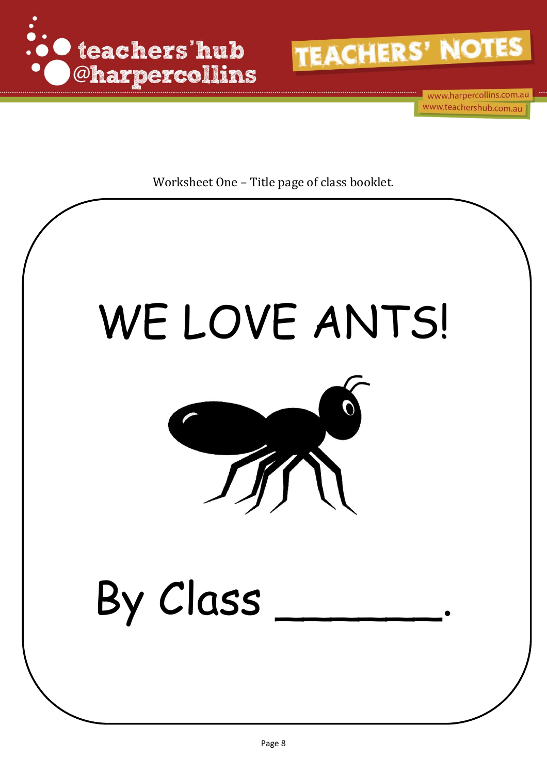![](_page_7_Picture_0.jpeg)

![](_page_7_Picture_1.jpeg)

www.harpercollins.com.au www.teachershub.com.au

Worksheet One – Title page of class booklet.

# WE LOVE ANTS!

![](_page_7_Picture_5.jpeg)

## By Class \_\_\_\_\_\_.

*reproduced (either in whole or in part) and offered for commercial sale.*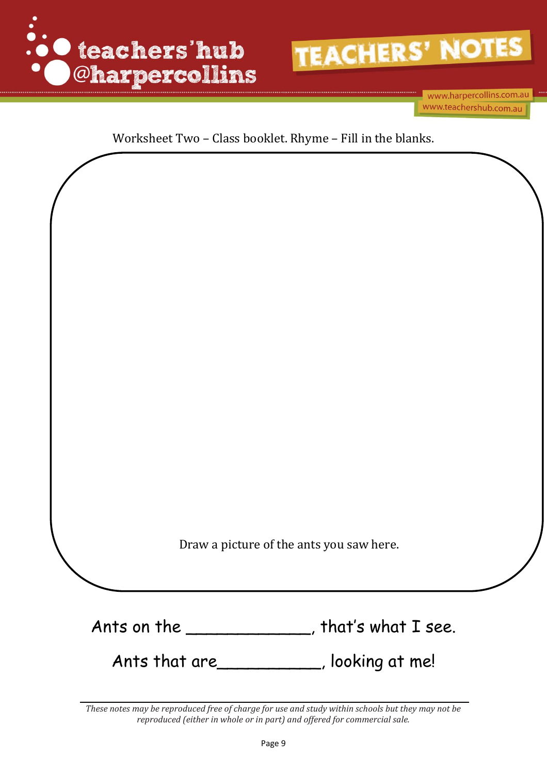![](_page_8_Picture_0.jpeg)

![](_page_8_Picture_1.jpeg)

www.harpercollins.com.au www.teachershub.com.au

#### Worksheet Two – Class booklet. Rhyme – Fill in the blanks.

![](_page_8_Picture_4.jpeg)